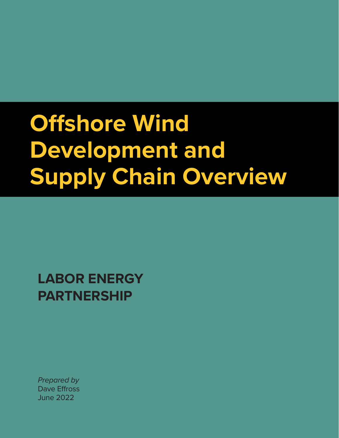# **Offshore Wind Development and Supply Chain Overview**

**LABOR ENERGY PARTNERSHIP**

*Prepared by*  Dave Effross June 2022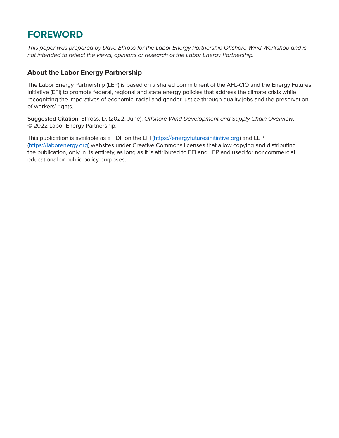# **FOREWORD**

*This paper was prepared by Dave Effross for the Labor Energy Partnership Offshore Wind Workshop and is not intended to reflect the views, opinions or research of the Labor Energy Partnership.*

#### **About the Labor Energy Partnership**

The Labor Energy Partnership (LEP) is based on a shared commitment of the AFL-CIO and the Energy Futures Initiative (EFI) to promote federal, regional and state energy policies that address the climate crisis while recognizing the imperatives of economic, racial and gender justice through quality jobs and the preservation of workers' rights.

**Suggested Citation:** Effross, D. (2022, June). *Offshore Wind Development and Supply Chain Overview*. © 2022 Labor Energy Partnership.

This publication is available as a PDF on the EFI [\(https://energyfuturesinitiative.org\)]((https://energyfuturesinitiative.org) and LEP [\(https://laborenergy.org\)](https://laborenergy.org) websites under Creative Commons licenses that allow copying and distributing the publication, only in its entirety, as long as it is attributed to EFI and LEP and used for noncommercial educational or public policy purposes.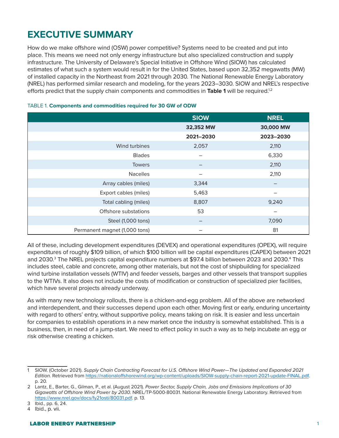# **EXECUTIVE SUMMARY**

How do we make offshore wind (OSW) power competitive? Systems need to be created and put into place. This means we need not only energy infrastructure but also specialized construction and supply infrastructure. The University of Delaware's Special Initiative in Offshore Wind (SIOW) has calculated estimates of what such a system would result in for the United States, based upon 32,352 megawatts (MW) of installed capacity in the Northeast from 2021 through 2030. The National Renewable Energy Laboratory (NREL) has performed similar research and modeling, for the years 2023–3030. SIOW and NREL's respective efforts predict that the supply chain components and commodities in Table 1 will be required.<sup>1,2</sup>

|                               | <b>SIOW</b> | <b>NREL</b> |
|-------------------------------|-------------|-------------|
|                               | 32,352 MW   | 30,000 MW   |
|                               | 2021-2030   | 2023-2030   |
| Wind turbines                 | 2,057       | 2,110       |
| <b>Blades</b>                 |             | 6,330       |
| <b>Towers</b>                 |             | 2,110       |
| <b>Nacelles</b>               |             | 2,110       |
| Array cables (miles)          | 3,344       |             |
| Export cables (miles)         | 5,463       |             |
| Total cabling (miles)         | 8,807       | 9,240       |
| Offshore substations          | 53          |             |
| Steel (1,000 tons)            |             | 7,090       |
| Permanent magnet (1,000 tons) |             | 81          |

#### TABLE 1. **Components and commodities required for 30 GW of ODW**

All of these, including development expenditures (DEVEX) and operational expenditures (OPEX), will require expenditures of roughly \$109 billion, of which \$100 billion will be capital expenditures (CAPEX) between 2021 and 2030.<sup>3</sup> The NREL projects capital expenditure numbers at \$97.4 billion between 2023 and 2030.<sup>4</sup> This includes steel, cable and concrete, among other materials, but not the cost of shipbuilding for specialized wind turbine installation vessels (WTIV) and feeder vessels, barges and other vessels that transport supplies to the WTIVs. It also does not include the costs of modification or construction of specialized pier facilities, which have several projects already underway.

As with many new technology rollouts, there is a chicken-and-egg problem. All of the above are networked and interdependent, and their successes depend upon each other. Moving first or early, enduring uncertainty with regard to others' entry, without supportive policy, means taking on risk. It is easier and less uncertain for companies to establish operations in a new market once the industry is somewhat established. This is a business, then, in need of a jump-start. We need to effect policy in such a way as to help incubate an egg or risk otherwise creating a chicken.

<sup>1</sup> SIOW. (October 2021). *Supply Chain Contracting Forecast for U.S. Offshore Wind Power—The Updated and Expanded 2021 Edition.* Retrieved from [https://nationaloffshorewind.org/wp-content/uploads/SIOW-supply-chain-report-2021-update-FINAL.pdf.](https://nationaloffshorewind.org/wp-content/uploads/SIOW-supply-chain-report-2021-update-FINAL.pdf) p. 20.

<sup>2</sup> Lantz, E., Barter, G., Gilman, P., et al. (August 2021). *Power Sector, Supply Chain, Jobs and Emissions Implications of 30 Gigawatts of Offshore Wind Power by 2030*. NREL/TP-5000-80031. National Renewable Energy Laboratory. Retrieved from <https://www.nrel.gov/docs/fy21osti/80031.pdf>. p. 13.

<sup>3</sup> Ibid., pp. 6, 24.

<sup>4</sup> Ibid., p. vii.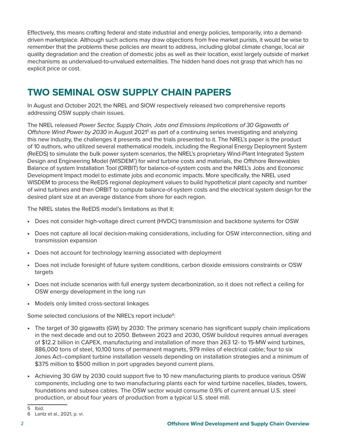Effectively, this means crafting federal and state industrial and energy policies, temporarily, into a demanddriven marketplace. Although such actions may draw objections from free market purists, it would be wise to remember that the problems these policies are meant to address, including global climate change, local air quality degradation and the creation of domestic jobs as well as their location, exist largely outside of market mechanisms as undervalued-to-unvalued externalities. The hidden hand does not grasp that which has no explicit price or cost.

## **TWO SEMINAL OSW SUPPLY CHAIN PAPERS**

In August and October 2021, the NREL and SIOW respectively released two comprehensive reports addressing OSW supply chain issues.

The NREL released *Power Sector, Supply Chain, Jobs and Emissions Implications of 30 Gigawatts of Offshore Wind Power by 2030* in August 20215 as part of a continuing series investigating and analyzing this new industry, the challenges it presents and the trials presented to it. The NREL's paper is the product of 10 authors, who utilized several mathematical models, including the Regional Energy Deployment System (ReEDS) to simulate the bulk power system scenarios, the NREL's proprietary Wind-Plant Integrated System Design and Engineering Model (WISDEM<sup>®</sup>) for wind turbine costs and materials, the Offshore Renewables Balance of system Installation Tool (ORBIT) for balance-of-system costs and the NREL's Jobs and Economic Development Impact model to estimate jobs and economic impacts. More specifically, the NREL used WISDEM to process the ReEDS regional deployment values to build hypothetical plant capacity and number of wind turbines and then ORBIT to compute balance-of-system costs and the electrical system design for the desired plant size at an average distance from shore for each region.

The NREL states the ReEDS model's limitations as that it:

- Does not consider high-voltage direct current (HVDC) transmission and backbone systems for OSW
- Does not capture all local decision-making considerations, including for OSW interconnection, siting and transmission expansion
- Does not account for technology learning associated with deployment
- Does not include foresight of future system conditions, carbon dioxide emissions constraints or OSW targets
- Does not include scenarios with full energy system decarbonization, so it does not reflect a ceiling for OSW energy development in the long run
- Models only limited cross-sectoral linkages

Some selected conclusions of the NREL's report include<sup>6</sup>:

- The target of 30 gigawatts (GW) by 2030: The primary scenario has significant supply chain implications in the next decade and out to 2050. Between 2023 and 2030, OSW buildout requires annual averages of \$12.2 billion in CAPEX, manufacturing and installation of more than 263 12- to 15-MW wind turbines, 886,000 tons of steel, 10,100 tons of permanent magnets, 979 miles of electrical cable; four to six Jones Act–compliant turbine installation vessels depending on installation strategies and a minimum of \$375 million to \$500 million in port upgrades beyond current plans.
- Achieving 30 GW by 2030 could support five to 10 new manufacturing plants to produce various OSW components, including one to two manufacturing plants each for wind turbine nacelles, blades, towers, foundations and subsea cables. The OSW sector would consume 0.9% of current annual U.S. steel production, or about four years of production from a typical U.S. steel mill.

<sup>5</sup> Ibid.

<sup>6</sup> Lantz et al., 2021, p. vi.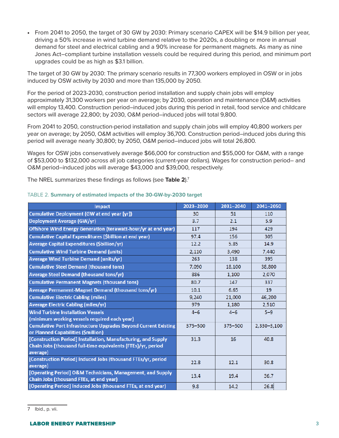• From 2041 to 2050, the target of 30 GW by 2030: Primary scenario CAPEX will be \$14.9 billion per year, driving a 50% increase in wind turbine demand relative to the 2020s, a doubling or more in annual demand for steel and electrical cabling and a 90% increase for permanent magnets. As many as nine Jones Act–compliant turbine installation vessels could be required during this period, and minimum port upgrades could be as high as \$3.1 billion.

The target of 30 GW by 2030: The primary scenario results in 77,300 workers employed in OSW or in jobs induced by OSW activity by 2030 and more than 135,000 by 2050.

For the period of 2023-2030, construction period installation and supply chain jobs will employ approximately 31,300 workers per year on average; by 2030, operation and maintenance (O&M) activities will employ 13,400. Construction period–induced jobs during this period in retail, food service and childcare sectors will average 22,800; by 2030, O&M period–induced jobs will total 9,800.

From 2041 to 2050, construction-period installation and supply chain jobs will employ 40,800 workers per year on average; by 2050, O&M activities will employ 36,700. Construction period–induced jobs during this period will average nearly 30,800; by 2050, O&M period–induced jobs will total 26,800.

Wages for OSW jobs conservatively average \$66,000 for construction and \$55,000 for O&M, with a range of \$53,000 to \$132,000 across all job categories (current-year dollars). Wages for construction period– and O&M period–induced jobs will average \$43,000 and \$39,000, respectively.

The NREL summarizes these findings as follows (see **Table 2**).7

| Impact                                                                   | 2023-2030 | 2031-2040 | 2041-2050   |
|--------------------------------------------------------------------------|-----------|-----------|-------------|
| <b>Cumulative Deployment (GW at end year [yr])</b>                       | 30        | 51        | 110         |
| Deployment Average (GW/yr)                                               | 3.7       | 2.1       | 5.9         |
| Offshore Wind Energy Generation (terawatt-hour/yr at end year)           | 117       | 194       | 429         |
| Cumulative Capital Expenditures (Sbillion at end year)                   | 97.4      | 156       | 305         |
| Average Capital Expenditures (\$billion/yr)                              | 12.2      | 5.85      | 14.9        |
| <b>Cumulative Wind Turbine Demand (units)</b>                            | 2,110     | 3,490     | 7,440       |
| <b>Average Wind Turbine Demand (units/yr)</b>                            | 263       | 138       | 395         |
| <b>Cumulative Steel Demand (thousand tons)</b>                           | 7,090     | 18,100    | 38,800      |
| <b>Average Steel Demand (thousand tons/yr)</b>                           | 886       | 1,100     | 2,070       |
| <b>Cumulative Permanent Magnets (thousand tons)</b>                      | 80.7      | 147       | 337         |
| Average Permanent-Magnet Demand (thousand tons/yr)                       | 10.1      | 6.65      | 19          |
| <b>Cumulative Electric Cabling (miles)</b>                               | 9,240     | 21,000    | 46,200      |
| <b>Average Electric Cabling (miles/yr)</b>                               | 979       | 1,180     | 2,510       |
| <b>Wind Turbine Installation Vessels</b>                                 | $4 - 6$   | $4 - 6$   | $5 - 9$     |
| (minimum working vessels required each year)                             |           |           |             |
| <b>Cumulative Port Infrastructure Upgrades Beyond Current Existing</b>   | 375-500   | 375-500   | 2,330-3,100 |
| or Planned Capabilities (\$million)                                      |           |           |             |
| [Construction Period] Installation, Manufacturing, and Supply            | 31.3      | 16        | 40.8        |
| Chain Jobs (thousand full-time equivalents (FTEs)/yr, period             |           |           |             |
| average)                                                                 |           |           |             |
| [Construction Period] Induced Jobs (thousand FTEs/yr, period<br>average) | 22.8      | 12.1      | 30.8        |
| [Operating Period] O&M Technicians, Management, and Supply               | 13.4      | 19.4      | 36.7        |
| Chain Jobs (thousand FTEs, at end year)                                  |           |           |             |
| [Operating Period] Induced Jobs (thousand FTEs, at end year)             | 9.8       | 14.2      | 26.8        |

#### TABLE 2. **Summary of estimated impacts of the 30-GW-by-2030 target**

<sup>7</sup> Ibid., p. vii.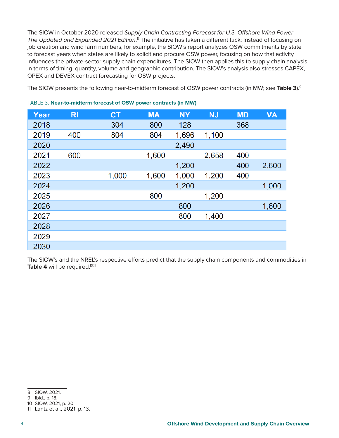The SIOW in October 2020 released *Supply Chain Contracting Forecast for U.S. Offshore Wind Power—* The Updated and Expanded 2021 Edition.<sup>8</sup> The initiative has taken a different tack: Instead of focusing on job creation and wind farm numbers, for example, the SIOW's report analyzes OSW commitments by state to forecast years when states are likely to solicit and procure OSW power, focusing on how that activity influences the private-sector supply chain expenditures. The SIOW then applies this to supply chain analysis, in terms of timing, quantity, volume and geographic contribution. The SIOW's analysis also stresses CAPEX, OPEX and DEVEX contract forecasting for OSW projects.

The SIOW presents the following near-to-midterm forecast of OSW power contracts (in MW; see **Table 3**).9

| Year | R <sub>1</sub> | <b>CT</b> | <b>MA</b> | <b>NY</b> | <b>NJ</b> | <b>MD</b> | <b>VA</b> |
|------|----------------|-----------|-----------|-----------|-----------|-----------|-----------|
| 2018 |                | 304       | 800       | 128       |           | 368       |           |
| 2019 | 400            | 804       | 804       | 1,696     | 1,100     |           |           |
| 2020 |                |           |           | 2,490     |           |           |           |
| 2021 | 600            |           | 1,600     |           | 2,658     | 400       |           |
| 2022 |                |           |           | 1,200     |           | 400       | 2,600     |
| 2023 |                | 1,000     | 1,600     | 1,000     | 1,200     | 400       |           |
| 2024 |                |           |           | 1,200     |           |           | 1,000     |
| 2025 |                |           | 800       |           | 1,200     |           |           |
| 2026 |                |           |           | 800       |           |           | 1,600     |
| 2027 |                |           |           | 800       | 1,400     |           |           |
| 2028 |                |           |           |           |           |           |           |
| 2029 |                |           |           |           |           |           |           |
| 2030 |                |           |           |           |           |           |           |

#### TABLE 3. **Near-to-midterm forecast of OSW power contracts (in MW)**

The SIOW's and the NREL's respective efforts predict that the supply chain components and commodities in Table 4 will be required.<sup>10,11</sup>

<sup>8</sup> SIOW, 2021.

<sup>9</sup> Ibid., p. 18.

<sup>10</sup> SIOW, 2021, p. 20.

<sup>11</sup> Lantz et al., 2021, p. 13.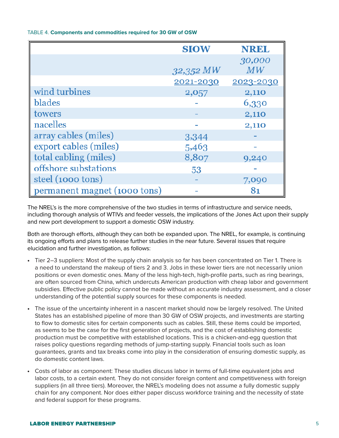#### TABLE 4. **Components and commodities required for 30 GW of OSW**

|                              | <b>SIOW</b> | <b>NREL</b> |
|------------------------------|-------------|-------------|
|                              |             | 30,000      |
|                              | 32,352 MW   | MW          |
|                              | 2021-2030   | 2023-2030   |
| wind turbines                | 2,057       | 2,110       |
| blades                       |             | 6,330       |
| towers                       |             | 2,110       |
| nacelles                     |             | 2,110       |
| array cables (miles)         | 3,344       |             |
| export cables (miles)        | 5,463       |             |
| total cabling (miles)        | 8,807       | 9,240       |
| offshore substations         | 53          |             |
| steel (1000 tons)            |             | 7,090       |
| permanent magnet (1000 tons) |             | 81          |

The NREL's is the more comprehensive of the two studies in terms of infrastructure and service needs, including thorough analysis of WTIVs and feeder vessels, the implications of the Jones Act upon their supply and new port development to support a domestic OSW industry.

Both are thorough efforts, although they can both be expanded upon. The NREL, for example, is continuing its ongoing efforts and plans to release further studies in the near future. Several issues that require elucidation and further investigation, as follows:

- Tier 2–3 suppliers: Most of the supply chain analysis so far has been concentrated on Tier 1. There is a need to understand the makeup of tiers 2 and 3. Jobs in these lower tiers are not necessarily union positions or even domestic ones. Many of the less high-tech, high-profile parts, such as ring bearings, are often sourced from China, which undercuts American production with cheap labor and government subsidies. Effective public policy cannot be made without an accurate industry assessment, and a closer understanding of the potential supply sources for these components is needed.
- The issue of the uncertainty inherent in a nascent market should now be largely resolved. The United States has an established pipeline of more than 30 GW of OSW projects, and investments are starting to flow to domestic sites for certain components such as cables. Still, these items could be imported, as seems to be the case for the first generation of projects, and the cost of establishing domestic production must be competitive with established locations. This is a chicken-and-egg question that raises policy questions regarding methods of jump-starting supply. Financial tools such as loan guarantees, grants and tax breaks come into play in the consideration of ensuring domestic supply, as do domestic content laws.
- Costs of labor as component: These studies discuss labor in terms of full-time equivalent jobs and labor costs, to a certain extent. They do not consider foreign content and competitiveness with foreign suppliers (in all three tiers). Moreover, the NREL's modeling does not assume a fully domestic supply chain for any component. Nor does either paper discuss workforce training and the necessity of state and federal support for these programs.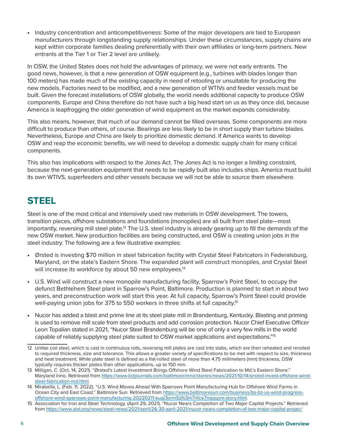• Industry concentration and anticompetitiveness: Some of the major developers are tied to European manufacturers through longstanding supply relationships. Under these circumstances, supply chains are kept within corporate families dealing preferentially with their own affiliates or long-term partners. New entrants at the Tier 1 or Tier 2 level are unlikely.

In OSW, the United States does not hold the advantages of primacy; we were not early entrants. The good news, however, is that a new generation of OSW equipment (e.g., turbines with blades longer than 100 meters) has made much of the existing capacity in need of retooling or unsuitable for producing the new models. Factories need to be modified, and a new generation of WTIVs and feeder vessels must be built. Given the forecast installations of OSW globally, the world needs additional capacity to produce OSW components. Europe and China therefore do not have such a big head start on us as they once did, because America is leapfrogging the older generation of wind equipment as the market expands considerably.

This also means, however, that much of our demand cannot be filled overseas. Some components are more difficult to produce than others, of course. Bearings are less likely to be in short supply than turbine blades. Nevertheless, Europe and China are likely to prioritize domestic demand. If America wants to develop OSW and reap the economic benefits, we will need to develop a domestic supply chain for many critical components.

This also has implications with respect to the Jones Act. The Jones Act is no longer a limiting constraint, because the next-generation equipment that needs to be rapidly built also includes ships. America must build its own WTIVS, superfeeders and other vessels because we will not be able to source them elsewhere.

## **STEEL**

Steel is one of the most critical and intensively used raw materials in OSW development. The towers, transition pieces, offshore substations and foundations (monopiles) are all built from steel plate—most importantly, reversing mill steel plate.<sup>12</sup> The U.S. steel industry is already gearing up to fill the demands of the new OSW market. New production facilities are being constructed, and OSW is creating union jobs in the steel industry. The following are a few illustrative examples:

- Ørsted is investing \$70 million in steel fabrication facility with Crystal Steel Fabricators in Federalsburg, Maryland, on the state's Eastern Shore. The expanded plant will construct monopiles, and Crystal Steel will increase its workforce by about 50 new employees.<sup>13</sup>
- U.S. Wind will construct a new monopile manufacturing facility, Sparrow's Point Steel, to occupy the defunct Bethlehem Steel plant in Sparrow's Point, Baltimore. Production is planned to start in about two years, and preconstruction work will start this year. At full capacity, Sparrow's Point Steel could provide well-paying union jobs for 375 to 550 workers in three shifts at full capacity.<sup>14</sup>
- Nucor has added a blast and prime line at its steel plate mill in Brandenburg, Kentucky. Blasting and priming is used to remove mill scale from steel products and add corrosion protection. Nucor Chief Executive Officer Leon Topalian stated in 2021, "Nucor Steel Brandenburg will be one of only a very few mills in the world capable of reliably supplying steel plate suited to OSW market applications and expectations."15

<sup>12</sup> Unlike coil steel, which is cast in continuous rolls, reversing mill plates are cast into slabs, which are then reheated and rerolled to required thickness, size and tolerance. This allows a greater variety of specifications to be met with respect to size, thickness and heat treatment. While plate steel is defined as a flat-rolled steel of more than 4.75 millimeters (mm) thickness, OSW typically requires thicker plates than other applications, up to 150 mm.

<sup>13</sup> Milligan, C. (Oct. 14, 2021). "Ørsted's Latest Investment Brings Offshore Wind Steel Fabrication to Md.'s Eastern Shore." Maryland Inno. Retrieved from [https://www.bizjournals.com/baltimore/inno/stories/news/2021/10/14/orsted-invest-offshore-wind](https://www.bizjournals.com/baltimore/inno/stories/news/2021/10/14/orsted-invest-offshore-wind-steel-fabrication-md.html)[steel-fabrication-md.html](https://www.bizjournals.com/baltimore/inno/stories/news/2021/10/14/orsted-invest-offshore-wind-steel-fabrication-md.html).

<sup>14</sup> Mirabella, L. (Feb. 11, 2022). "U.S. Wind Moves Ahead With Sparrows Point Manufacturing Hub for Offshore Wind Farms in Ocean City and East Coast." Baltimore Sun. Retrieved from [https://www.baltimoresun.com/business/bs-bz-us-wind-progress](https://www.baltimoresun.com/business/bs-bz-us-wind-progress-offshore-wind-sparrows-point-manufacturing-20220211-kugi3orm5zfs3m7nfce7ngqqxm-story.html)[offshore-wind-sparrows-point-manufacturing-20220211-kugi3orm5zfs3m7nfce7ngqqxm-story.html.](https://www.baltimoresun.com/business/bs-bz-us-wind-progress-offshore-wind-sparrows-point-manufacturing-20220211-kugi3orm5zfs3m7nfce7ngqqxm-story.html)

<sup>15</sup> Association for Iron and Steel Technology. (April 29, 2021). "Nucor Nears Completion of Two Major Capital Projects." Retrieved from<https://www.aist.org/news/steel-news/2021/april/26-30-april-2021/nucor-nears-completion-of-two-major-capital-projec/>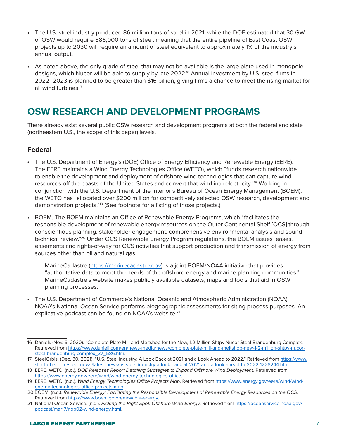- The U.S. steel industry produced 86 million tons of steel in 2021, while the DOE estimated that 30 GW of OSW would require 886,000 tons of steel, meaning that the entire pipeline of East Coast OSW projects up to 2030 will require an amount of steel equivalent to approximately 1% of the industry's annual output.
- As noted above, the only grade of steel that may not be available is the large plate used in monopole designs, which Nucor will be able to supply by late 2022.<sup>16</sup> Annual investment by U.S. steel firms in 2022–2023 is planned to be greater than \$16 billion, giving firms a chance to meet the rising market for all wind turbines.<sup>17</sup>

# **OSW RESEARCH AND DEVELOPMENT PROGRAMS**

There already exist several public OSW research and development programs at both the federal and state (northeastern U.S., the scope of this paper) levels.

#### **Federal**

- The U.S. Department of Energy's (DOE) Office of Energy Efficiency and Renewable Energy (EERE). The EERE maintains a Wind Energy Technologies Office (WETO), which "funds research nationwide to enable the development and deployment of offshore wind technologies that can capture wind resources off the coasts of the United States and convert that wind into electricity."18 Working in conjunction with the U.S. Department of the Interior's Bureau of Ocean Energy Management (BOEM), the WETO has "allocated over \$200 million for competitively selected OSW research, development and demonstration projects."19 (See footnote for a listing of those projects.)
- BOEM. The BOEM maintains an Office of Renewable Energy Programs, which "facilitates the responsible development of renewable energy resources on the Outer Continental Shelf [OCS] through conscientious planning, stakeholder engagement, comprehensive environmental analysis and sound technical review."<sup>20</sup> Under OCS Renewable Energy Program regulations, the BOEM issues leases, easements and rights-of-way for OCS activities that support production and transmission of energy from sources other than oil and natural gas.
	- MarineCadastre [\(https://marinecadastre.gov](https://marinecadastre.gov)) is a joint BOEM/NOAA initiative that provides "authoritative data to meet the needs of the offshore energy and marine planning communities." MarineCadastre's website makes publicly available datasets, maps and tools that aid in OSW planning processes.
- The U.S. Department of Commerce's National Oceanic and Atmospheric Administration (NOAA). NOAA's National Ocean Service performs biogeographic assessments for siting process purposes. An explicative podcast can be found on NOAA's website.<sup>21</sup>

<sup>16</sup> Danieli. (Nov. 6, 2020). "Complete Plate Mill and Meltshop for the New, 1.2 Million Shtpy Nucor Steel Brandenburg Complex." Retrieved from [https://www.danieli.com/en/news-media/news/complete-plate-mill-and-meltshop-new-1-2-million-shtpy-nucor](https://www.danieli.com/en/news-media/news/complete-plate-mill-and-meltshop-new-1-2-million-shtpy-nucor-steel-brandenburg-complex_37_586.htm)[steel-brandenburg-complex\\_37\\_586.htm.](https://www.danieli.com/en/news-media/news/complete-plate-mill-and-meltshop-new-1-2-million-shtpy-nucor-steel-brandenburg-complex_37_586.htm)

<sup>17</sup> SteelOrbis. (Dec. 30, 2021). "U.S. Steel Industry: A Look Back at 2021 and a Look Ahead to 2022." Retrieved from [https://www.](https://www.steelorbis.com/steel-news/latest-news/us-steel-industry-a-look-back-at-2021-and-a-look-ahead-to-2022-1228244.htm) [steelorbis.com/steel-news/latest-news/us-steel-industry-a-look-back-at-2021-and-a-look-ahead-to-2022-1228244.htm](https://www.steelorbis.com/steel-news/latest-news/us-steel-industry-a-look-back-at-2021-and-a-look-ahead-to-2022-1228244.htm).

<sup>18</sup> EERE, WETO. (n.d.). *DOE Releases Report Detailing Strategies to Expand Offshore Wind Deployment*. Retrieved from <https://www.energy.gov/eere/wind/wind-energy-technologies-office>.

<sup>19</sup> EERE, WETO. (n.d.). *Wind Energy Technologies Office Projects Map*. Retrieved from [https://www.energy.gov/eere/wind/wind](https://www.energy.gov/eere/wind/wind-energy-technologies-office-projects-map)[energy-technologies-office-projects-map.](https://www.energy.gov/eere/wind/wind-energy-technologies-office-projects-map)

<sup>20</sup> BOEM. (n.d.). *Renewable Energy: Facilitating the Responsible Development of Renewable Energy Resources on the OCS*. Retrieved from<https://www.boem.gov/renewable-energy>.

<sup>21</sup> National Ocean Service. (n.d.). *Picking the Right Spot: Offshore Wind Energy*. Retrieved from [https://oceanservice.noaa.gov/](https://oceanservice.noaa.gov/podcast/mar17/nop02-wind-energy.html) [podcast/mar17/nop02-wind-energy.html.](https://oceanservice.noaa.gov/podcast/mar17/nop02-wind-energy.html)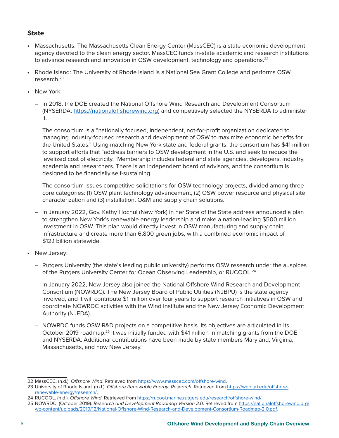#### **State**

- Massachusetts: The Massachusetts Clean Energy Center (MassCEC) is a state economic development agency devoted to the clean energy sector. MassCEC funds in-state academic and research institutions to advance research and innovation in OSW development, technology and operations.<sup>22</sup>
- Rhode Island: The University of Rhode Island is a National Sea Grant College and performs OSW research.23
- New York:
	- In 2018, the DOE created the National Offshore Wind Research and Development Consortium (NYSERDA; [https://nationaloffshorewind.org\)](https://nationaloffshorewind.org) and competitively selected the NYSERDA to administer it.

The consortium is a "nationally focused, independent, not-for-profit organization dedicated to managing industry-focused research and development of OSW to maximize economic benefits for the United States." Using matching New York state and federal grants, the consortium has \$41 million to support efforts that "address barriers to OSW development in the U.S. and seek to reduce the levelized cost of electricity." Membership includes federal and state agencies, developers, industry, academia and researchers. There is an independent board of advisors, and the consortium is designed to be financially self-sustaining.

The consortium issues competitive solicitations for OSW technology projects, divided among three core categories: (1) OSW plant technology advancement, (2) OSW power resource and physical site characterization and (3) installation, O&M and supply chain solutions.

- In January 2022, Gov. Kathy Hochul (New York) in her State of the State address announced a plan to strengthen New York's renewable energy leadership and make a nation-leading \$500 million investment in OSW. This plan would directly invest in OSW manufacturing and supply chain infrastructure and create more than 6,800 green jobs, with a combined economic impact of \$12.1 billion statewide.
- New Jersey:
	- Rutgers University (the state's leading public university) performs OSW research under the auspices of the Rutgers University Center for Ocean Observing Leadership, or RUCOOL.24
	- In January 2022, New Jersey also joined the National Offshore Wind Research and Development Consortium (NOWRDC). The New Jersey Board of Public Utilities (NJBPU) is the state agency involved, and it will contribute \$1 million over four years to support research initiatives in OSW and coordinate NOWRDC activities with the Wind Institute and the New Jersey Economic Development Authority (NJEDA).
	- NOWRDC funds OSW R&D projects on a competitive basis. Its objectives are articulated in its October 2019 roadmap.<sup>25</sup> It was initially funded with \$41 million in matching grants from the DOE and NYSERDA. Additional contributions have been made by state members Maryland, Virginia, Massachusetts, and now New Jersey.

<sup>22</sup> MassCEC. (n.d.). *Offshore Wind*. Retrieved from [https://www.masscec.com/offshore-wind.](https://www.masscec.com/offshore-wind)

<sup>23</sup> University of Rhode Island. (n.d.). *Offshore Renewable Energy: Research*. Retrieved from [https://web.uri.edu/offshore](https://web.uri.edu/offshore-renewable-energy/research/)[renewable-energy/research/.](https://web.uri.edu/offshore-renewable-energy/research/)

<sup>24</sup> RUCOOL. (n.d.). *Offshore Wind*. Retrieved from<https://rucool.marine.rutgers.edu/research/offshore-wind/>.

<sup>25</sup> NOWRDC. (October 2019). *Research and Development Roadmap Version 2.0*. Retrieved from [https://nationaloffshorewind.org/](https://nationaloffshorewind.org/wp-content/uploads/2019/12/National-Offshore-Wind-Research-and-Development-Consortium-Roadmap-2.0.pdf) [wp-content/uploads/2019/12/National-Offshore-Wind-Research-and-Development-Consortium-Roadmap-2.0.pdf.](https://nationaloffshorewind.org/wp-content/uploads/2019/12/National-Offshore-Wind-Research-and-Development-Consortium-Roadmap-2.0.pdf)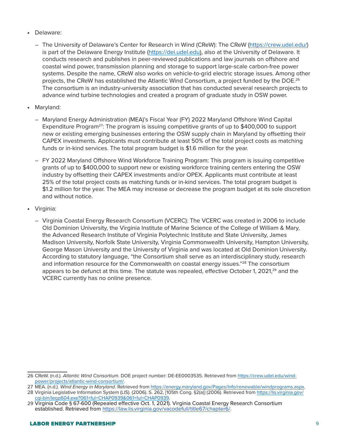- Delaware:
	- The University of Delaware's Center for Research in Wind (CReW): The CReW (<https://crew.udel.edu/>) is part of the Delaware Energy Institute (<https://dei.udel.edu>), also at the University of Delaware. It conducts research and publishes in peer-reviewed publications and law journals on offshore and coastal wind power, transmission planning and storage to support large-scale carbon-free power systems. Despite the name, CReW also works on vehicle-to-grid electric storage issues. Among other projects, the CReW has established the Atlantic Wind Consortium, a project funded by the DOE.<sup>26</sup> The consortium is an industry-university association that has conducted several research projects to advance wind turbine technologies and created a program of graduate study in OSW power.
- Maryland:
	- Maryland Energy Administration (MEA)'s Fiscal Year (FY) 2022 Maryland Offshore Wind Capital Expenditure Program<sup>27</sup>: The program is issuing competitive grants of up to \$400,000 to support new or existing emerging businesses entering the OSW supply chain in Maryland by offsetting their CAPEX investments. Applicants must contribute at least 50% of the total project costs as matching funds or in-kind services. The total program budget is \$1.6 million for the year.
	- FY 2022 Maryland Offshore Wind Workforce Training Program: This program is issuing competitive grants of up to \$400,000 to support new or existing workforce training centers entering the OSW industry by offsetting their CAPEX investments and/or OPEX. Applicants must contribute at least 25% of the total project costs as matching funds or in-kind services. The total program budget is \$1.2 million for the year. The MEA may increase or decrease the program budget at its sole discretion and without notice.
- Virginia:
	- Virginia Coastal Energy Research Consortium (VCERC): The VCERC was created in 2006 to include Old Dominion University, the Virginia Institute of Marine Science of the College of William & Mary, the Advanced Research Institute of Virginia Polytechnic Institute and State University, James Madison University, Norfolk State University, Virginia Commonwealth University, Hampton University, George Mason University and the University of Virginia and was located at Old Dominion University. According to statutory language, "the Consortium shall serve as an interdisciplinary study, research and information resource for the Commonwealth on coastal energy issues."<sup>28</sup> The consortium appears to be defunct at this time. The statute was repealed, effective October 1, 2021,<sup>29</sup> and the VCERC currently has no online presence.

<sup>26</sup> CReW. (n.d.). *Atlantic Wind Consortium*. DOE project number: DE-EE0003535. Retrieved from [https://crew.udel.edu/wind](https://crew.udel.edu/wind-power/projects/atlantic-wind-consortium/)[power/projects/atlantic-wind-consortium/.](https://crew.udel.edu/wind-power/projects/atlantic-wind-consortium/)

<sup>27</sup> MEA. (n.d.). *Wind Energy in Maryland*. Retrieved from [https://energy.maryland.gov/Pages/Info/renewable/windprograms.aspx.](https://energy.maryland.gov/Pages/Info/renewable/windprograms.aspx)

<sup>28</sup> Virginia Legislative Information System (LIS). (2006). S. 262, [105th Cong. §2(a)] (2006). Retrieved from [https://lis.virginia.gov/](https://lis.virginia.gov/cgi-bin/legp604.exe?061+ful+CHAP0939&061+ful+CHAP0939) [cgi-bin/legp604.exe?061+ful+CHAP0939&061+ful+CHAP0939](https://lis.virginia.gov/cgi-bin/legp604.exe?061+ful+CHAP0939&061+ful+CHAP0939).

<sup>29</sup> Virginia Code § 67-600 (Repealed effective Oct. 1, 2021). Virginia Coastal Energy Research Consortium established. Retrieved from [https://law.lis.virginia.gov/vacodefull/title67/chapter6/.](https://law.lis.virginia.gov/vacodefull/title67/chapter6/)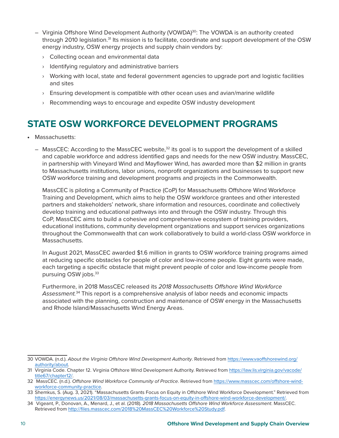- Virginia Offshore Wind Development Authority (VOWDA)30: The VOWDA is an authority created through 2010 legislation.<sup>31</sup> Its mission is to facilitate, coordinate and support development of the OSW energy industry, OSW energy projects and supply chain vendors by:
	- › Collecting ocean and environmental data
	- › Identifying regulatory and administrative barriers
	- › Working with local, state and federal government agencies to upgrade port and logistic facilities and sites
	- $\rightarrow$  Ensuring development is compatible with other ocean uses and avian/marine wildlife
	- › Recommending ways to encourage and expedite OSW industry development

## **STATE OSW WORKFORCE DEVELOPMENT PROGRAMS**

- Massachusetts:
	- $-$  MassCEC: According to the MassCEC website, $32$  its goal is to support the development of a skilled and capable workforce and address identified gaps and needs for the new OSW industry. MassCEC, in partnership with Vineyard Wind and Mayflower Wind, has awarded more than \$2 million in grants to Massachusetts institutions, labor unions, nonprofit organizations and businesses to support new OSW workforce training and development programs and projects in the Commonwealth.

MassCEC is piloting a Community of Practice (CoP) for Massachusetts Offshore Wind Workforce Training and Development, which aims to help the OSW workforce grantees and other interested partners and stakeholders' network, share information and resources, coordinate and collectively develop training and educational pathways into and through the OSW industry. Through this CoP, MassCEC aims to build a cohesive and comprehensive ecosystem of training providers, educational institutions, community development organizations and support services organizations throughout the Commonwealth that can work collaboratively to build a world-class OSW workforce in Massachusetts.

In August 2021, MassCEC awarded \$1.6 million in grants to OSW workforce training programs aimed at reducing specific obstacles for people of color and low-income people. Eight grants were made, each targeting a specific obstacle that might prevent people of color and low-income people from pursuing OSW jobs.33

Furthermore, in 2018 MassCEC released its *2018 Massachusetts Offshore Wind Workforce Assessment.*34 This report is a comprehensive analysis of labor needs and economic impacts associated with the planning, construction and maintenance of OSW energy in the Massachusetts and Rhode Island/Massachusetts Wind Energy Areas.

<sup>30</sup> VOWDA. (n.d.). *About the Virginia Offshore Wind Development Authority*. Retrieved from [https://www.vaoffshorewind.org/](https://www.vaoffshorewind.org/authority/about) [authority/about.](https://www.vaoffshorewind.org/authority/about)

<sup>31</sup> Virginia Code. Chapter 12. Virginia Offshore Wind Development Authority. Retrieved from [https://law.lis.virginia.gov/vacode/](https://law.lis.virginia.gov/vacode/title67/chapter12/) [title67/chapter12/](https://law.lis.virginia.gov/vacode/title67/chapter12/).

<sup>32</sup> MassCEC. (n.d.). *Offshore Wind Workforce Community of Practice*. Retrieved from [https://www.masscec.com/offshore-wind](https://www.masscec.com/offshore-wind-workforce-community-practice)[workforce-community-practice.](https://www.masscec.com/offshore-wind-workforce-community-practice)

<sup>33</sup> Shemkus, S. (Aug. 3, 2021). "Massachusetts Grants Focus on Equity in Offshore Wind Workforce Development." Retrieved from <https://energynews.us/2021/08/03/massachusetts-grants-focus-on-equity-in-offshore-wind-workforce-development/>.

<sup>34</sup> Vigeant, P., Donovan, A., Menard, J., et al. (2018). *2018 Massachusetts Offshore Wind Workforce Assessment*. MassCEC. Retrieved from [http://files.masscec.com/2018%20MassCEC%20Workforce%20Study.pdf.](http://files.masscec.com/2018%20MassCEC%20Workforce%20Study.pdf)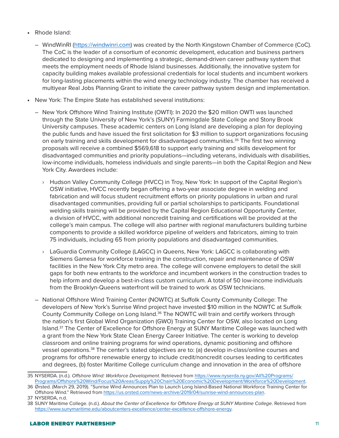- Rhode Island:
	- WindWinRI [\(https://windwinri.com\)](https://windwinri.com) was created by the North Kingstown Chamber of Commerce (CoC). The CoC is the leader of a consortium of economic development, education and business partners dedicated to designing and implementing a strategic, demand-driven career pathway system that meets the employment needs of Rhode Island businesses. Additionally, the innovative system for capacity building makes available professional credentials for local students and incumbent workers for long-lasting placements within the wind energy technology industry. The chamber has received a multiyear Real Jobs Planning Grant to initiate the career pathway system design and implementation.
- New York: The Empire State has established several institutions:
	- New York Offshore Wind Training Institute (OWTI): In 2020 the \$20 million OWTI was launched through the State University of New York's (SUNY) Farmingdale State College and Stony Brook University campuses. These academic centers on Long Island are developing a plan for deploying the public funds and have issued the first solicitation for \$3 million to support organizations focusing on early training and skills development for disadvantaged communities.<sup>35</sup> The first two winning proposals will receive a combined \$569,618 to support early training and skills development for disadvantaged communities and priority populations—including veterans, individuals with disabilities, low-income individuals, homeless individuals and single parents—in both the Capital Region and New York City. Awardees include:
		- › Hudson Valley Community College (HVCC) in Troy, New York: In support of the Capital Region's OSW initiative, HVCC recently began offering a two-year associate degree in welding and fabrication and will focus student recruitment efforts on priority populations in urban and rural disadvantaged communities, providing full or partial scholarships to participants. Foundational welding skills training will be provided by the Capital Region Educational Opportunity Center, a division of HVCC, with additional noncredit training and certifications will be provided at the college's main campus. The college will also partner with regional manufacturers building turbine components to provide a skilled workforce pipeline of welders and fabricators, aiming to train 75 individuals, including 65 from priority populations and disadvantaged communities.
		- › LaGuardia Community College (LAGCC) in Queens, New York: LAGCC is collaborating with Siemens Gamesa for workforce training in the construction, repair and maintenance of OSW facilities in the New York City metro area. The college will convene employers to detail the skill gaps for both new entrants to the workforce and incumbent workers in the construction trades to help inform and develop a best-in-class custom curriculum. A total of 50 low-income individuals from the Brooklyn-Queens waterfront will be trained to work as OSW technicians.
	- National Offshore Wind Training Center (NOWTC) at Suffolk County Community College: The developers of New York's Sunrise Wind project have invested \$10 million in the NOWTC at Suffolk County Community College on Long Island.<sup>36</sup> The NOWTC will train and certify workers through the nation's first Global Wind Organization (GWO) Training Center for OSW, also located on Long Island.<sup>37</sup> The Center of Excellence for Offshore Energy at SUNY Maritime College was launched with a grant from the New York State Clean Energy Career Initiative. The center is working to develop classroom and online training programs for wind operations, dynamic positioning and offshore vessel operations.38 The center's stated objectives are to: (a) develop in-class/online courses and programs for offshore renewable energy to include credit/noncredit courses leading to certificates and degrees, (b) foster Maritime College curriculum change and innovation in the area of offshore

<sup>35</sup> NYSERDA. (n.d.). *Offshore Wind: Workforce Development*. Retrieved from [https://www.nyserda.ny.gov/All%20Programs/](https://www.nyserda.ny.gov/All%20Programs/Programs/Offshore%20Wind/Focus%20Areas/Supply%20Chain%20Economic%20Development/Workforce%20Development) [Programs/Offshore%20Wind/Focus%20Areas/Supply%20Chain%20Economic%20Development/Workforce%20Development.](https://www.nyserda.ny.gov/All%20Programs/Programs/Offshore%20Wind/Focus%20Areas/Supply%20Chain%20Economic%20Development/Workforce%20Development)

<sup>36</sup> Ørsted. (March 29, 2019). "Sunrise Wind Announces Plan to Launch Long Island-Based National Workforce Training Center for Offshore Wind." Retrieved from<https://us.orsted.com/news-archive/2019/04/sunrise-wind-announces-plan>.

<sup>37</sup> NYSERDA, n.d.

<sup>38</sup> SUNY Maritime College. (n.d.). *About the Center of Excellence for Offshore Energy at SUNY Maritime College*. Retrieved from <https://www.sunymaritime.edu/aboutcenters-excellence/center-excellence-offshore-energy>.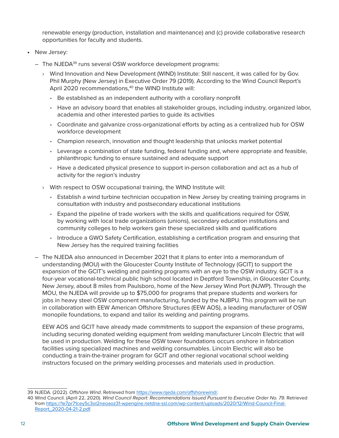renewable energy (production, installation and maintenance) and (c) provide collaborative research opportunities for faculty and students.

- New Jersey:
	- The NJEDA<sup>39</sup> runs several OSW workforce development programs:
		- › Wind Innovation and New Development (WIND) Institute: Still nascent, it was called for by Gov. Phil Murphy (New Jersey) in Executive Order 79 (2019). According to the Wind Council Report's April 2020 recommendations,<sup>40</sup> the WIND Institute will:
			- Be established as an independent authority with a corollary nonprofit
			- Have an advisory board that enables all stakeholder groups, including industry, organized labor, academia and other interested parties to guide its activities
			- Coordinate and galvanize cross-organizational efforts by acting as a centralized hub for OSW workforce development
			- Champion research, innovation and thought leadership that unlocks market potential
			- Leverage a combination of state funding, federal funding and, where appropriate and feasible, philanthropic funding to ensure sustained and adequate support
			- Have a dedicated physical presence to support in-person collaboration and act as a hub of activity for the region's industry
		- › With respect to OSW occupational training, the WIND Institute will:
			- Establish a wind turbine technician occupation in New Jersey by creating training programs in consultation with industry and postsecondary educational institutions
			- Expand the pipeline of trade workers with the skills and qualifications required for OSW, by working with local trade organizations (unions), secondary education institutions and community colleges to help workers gain these specialized skills and qualifications
			- Introduce a GWO Safety Certification, establishing a certification program and ensuring that New Jersey has the required training facilities
	- The NJEDA also announced in December 2021 that it plans to enter into a memorandum of understanding (MOU) with the Gloucester County Institute of Technology (GCIT) to support the expansion of the GCIT's welding and painting programs with an eye to the OSW industry. GCIT is a four-year vocational-technical public high school located in Deptford Township, in Gloucester County, New Jersey, about 8 miles from Paulsboro, home of the New Jersey Wind Port (NJWP). Through the MOU, the NJEDA will provide up to \$75,000 for programs that prepare students and workers for jobs in heavy steel OSW component manufacturing, funded by the NJBPU. This program will be run in collaboration with EEW American Offshore Structures (EEW AOS), a leading manufacturer of OSW monopile foundations, to expand and tailor its welding and painting programs.

EEW AOS and GCIT have already made commitments to support the expansion of these programs, including securing donated welding equipment from welding manufacturer Lincoln Electric that will be used in production. Welding for these OSW tower foundations occurs onshore in fabrication facilities using specialized machines and welding consumables. Lincoln Electric will also be conducting a train-the-trainer program for GCIT and other regional vocational school welding instructors focused on the primary welding processes and materials used in production.

<sup>39</sup> NJEDA. (2022). *Offshore Wind*. Retrieved from [https://www.njeda.com/offshorewind/.](https://www.njeda.com/offshorewind/)

<sup>40</sup> Wind Council. (April 22, 2020). *Wind Council Report: Recommendations Issued Pursuant to Executive Order No. 79*. Retrieved from [https://1e7pr71cey5c3ol2neoaoz31-wpengine.netdna-ssl.com/wp-content/uploads/2020/12/Wind-Council-Final-](https://1e7pr71cey5c3ol2neoaoz31-wpengine.netdna-ssl.com/wp-content/uploads/2020/12/Wind-Council-Final-Report_2020-04-21-2.pdf)[Report\\_2020-04-21-2.pdf.](https://1e7pr71cey5c3ol2neoaoz31-wpengine.netdna-ssl.com/wp-content/uploads/2020/12/Wind-Council-Final-Report_2020-04-21-2.pdf)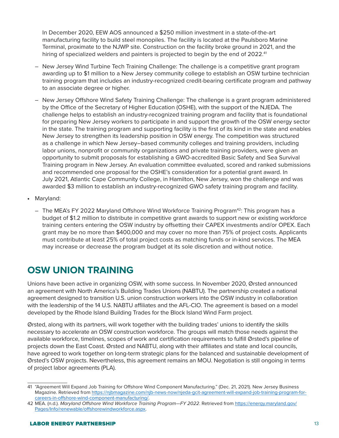In December 2020, EEW AOS announced a \$250 million investment in a state-of-the-art manufacturing facility to build steel monopiles. The facility is located at the Paulsboro Marine Terminal, proximate to the NJWP site. Construction on the facility broke ground in 2021, and the hiring of specialized welders and painters is projected to begin by the end of 2022.<sup>41</sup>

- New Jersey Wind Turbine Tech Training Challenge: The challenge is a competitive grant program awarding up to \$1 million to a New Jersey community college to establish an OSW turbine technician training program that includes an industry-recognized credit-bearing certificate program and pathway to an associate degree or higher.
- New Jersey Offshore Wind Safety Training Challenge: The challenge is a grant program administered by the Office of the Secretary of Higher Education (OSHE), with the support of the NJEDA. The challenge helps to establish an industry-recognized training program and facility that is foundational for preparing New Jersey workers to participate in and support the growth of the OSW energy sector in the state. The training program and supporting facility is the first of its kind in the state and enables New Jersey to strengthen its leadership position in OSW energy. The competition was structured as a challenge in which New Jersey–based community colleges and training providers, including labor unions, nonprofit or community organizations and private training providers, were given an opportunity to submit proposals for establishing a GWO-accredited Basic Safety and Sea Survival Training program in New Jersey. An evaluation committee evaluated, scored and ranked submissions and recommended one proposal for the OSHE's consideration for a potential grant award. In July 2021, Atlantic Cape Community College, in Hamilton, New Jersey, won the challenge and was awarded \$3 million to establish an industry-recognized GWO safety training program and facility.
- Maryland:
	- $-$  The MEA's FY 2022 Maryland Offshore Wind Workforce Training Program<sup>42</sup>: This program has a budget of \$1.2 million to distribute in competitive grant awards to support new or existing workforce training centers entering the OSW industry by offsetting their CAPEX investments and/or OPEX. Each grant may be no more than \$400,000 and may cover no more than 75% of project costs. Applicants must contribute at least 25% of total project costs as matching funds or in-kind services. The MEA may increase or decrease the program budget at its sole discretion and without notice.

## **OSW UNION TRAINING**

Unions have been active in organizing OSW, with some success. In November 2020, Ørsted announced an agreement with North America's Building Trades Unions (NABTU). The partnership created a national agreement designed to transition U.S. union construction workers into the OSW industry in collaboration with the leadership of the 14 U.S. NABTU affiliates and the AFL-CIO. The agreement is based on a model developed by the Rhode Island Building Trades for the Block Island Wind Farm project.

Ørsted, along with its partners, will work together with the building trades' unions to identify the skills necessary to accelerate an OSW construction workforce. The groups will match those needs against the available workforce, timelines, scopes of work and certification requirements to fulfill Ørsted's pipeline of projects down the East Coast. Ørsted and NABTU, along with their affiliates and state and local councils, have agreed to work together on long-term strategic plans for the balanced and sustainable development of Ørsted's OSW projects. Nevertheless, this agreement remains an MOU. Negotiation is still ongoing in terms of project labor agreements (PLA).

<sup>41</sup> "Agreement Will Expand Job Training for Offshore Wind Component Manufacturing." (Dec. 21, 2021). New Jersey Business Magazine. Retrieved from [https://njbmagazine.com/njb-news-now/njeda-gcit-agreement-will-expand-job-training-program-for](https://njbmagazine.com/njb-news-now/njeda-gcit-agreement-will-expand-job-training-program-for-careers-in-offshore-wind-component-manufacturing/)[careers-in-offshore-wind-component-manufacturing/](https://njbmagazine.com/njb-news-now/njeda-gcit-agreement-will-expand-job-training-program-for-careers-in-offshore-wind-component-manufacturing/).

<sup>42</sup> MEA. (n.d.). *Maryland Offshore Wind Workforce Training Program—FY 2022*. Retrieved from [https://energy.maryland.gov/](https://energy.maryland.gov/Pages/Info/renewable/offshorewindworkforce.aspx) [Pages/Info/renewable/offshorewindworkforce.aspx.](https://energy.maryland.gov/Pages/Info/renewable/offshorewindworkforce.aspx)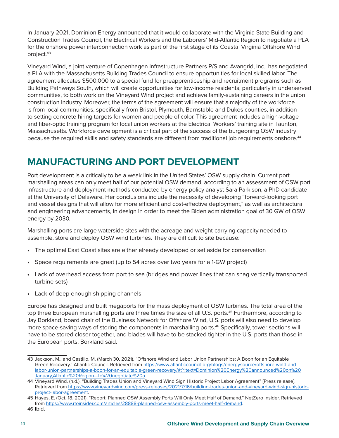In January 2021, Dominion Energy announced that it would collaborate with the Virginia State Building and Construction Trades Council, the Electrical Workers and the Laborers' Mid-Atlantic Region to negotiate a PLA for the onshore power interconnection work as part of the first stage of its Coastal Virginia Offshore Wind project.43

Vineyard Wind, a joint venture of Copenhagen Infrastructure Partners P/S and Avangrid, Inc., has negotiated a PLA with the Massachusetts Building Trades Council to ensure opportunities for local skilled labor. The agreement allocates \$500,000 to a special fund for preapprenticeship and recruitment programs such as Building Pathways South, which will create opportunities for low-income residents, particularly in underserved communities, to both work on the Vineyard Wind project and achieve family-sustaining careers in the union construction industry. Moreover, the terms of the agreement will ensure that a majority of the workforce is from local communities, specifically from Bristol, Plymouth, Barnstable and Dukes counties, in addition to setting concrete hiring targets for women and people of color. This agreement includes a high-voltage and fiber-optic training program for local union workers at the Electrical Workers' training site in Taunton, Massachusetts. Workforce development is a critical part of the success of the burgeoning OSW industry because the required skills and safety standards are different from traditional job requirements onshore.<sup>44</sup>

# **MANUFACTURING AND PORT DEVELOPMENT**

Port development is a critically to be a weak link in the United States' OSW supply chain. Current port marshalling areas can only meet half of our potential OSW demand, according to an assessment of OSW port infrastructure and deployment methods conducted by energy policy analyst Sara Parkison, a PhD candidate at the University of Delaware. Her conclusions include the necessity of developing "forward-looking port and vessel designs that will allow for more efficient and cost-effective deployment," as well as architectural and engineering advancements, in design in order to meet the Biden administration goal of 30 GW of OSW energy by 2030.

Marshalling ports are large waterside sites with the acreage and weight-carrying capacity needed to assemble, store and deploy OSW wind turbines. They are difficult to site because:

- The optimal East Coast sites are either already developed or set aside for conservation
- Space requirements are great (up to 54 acres over two years for a 1-GW project)
- Lack of overhead access from port to sea (bridges and power lines that can snag vertically transported turbine sets)
- Lack of deep enough shipping channels

Europe has designed and built megaports for the mass deployment of OSW turbines. The total area of the top three European marshalling ports are three times the size of all U.S. ports.<sup>45</sup> Furthermore, according to Jay Borkland, board chair of the Business Network for Offshore Wind, U.S. ports will also need to develop more space-saving ways of storing the components in marshalling ports.<sup>46</sup> Specifically, tower sections will have to be stored closer together, and blades will have to be stacked tighter in the U.S. ports than those in the European ports, Borkland said.

<sup>43</sup> Jackson, M., and Castillo, M. (March 30, 2021). "Offshore Wind and Labor Union Partnerships: A Boon for an Equitable Green Recovery." Atlantic Council. Retrieved from [https://www.atlanticcouncil.org/blogs/energysource/offshore-wind-and](https://www.atlanticcouncil.org/blogs/energysource/offshore-wind-and-labor-union-partnerships-a-boon-for-an-equitable-green-recovery/#:~:text=Dominion%20Energy%20announced%20on%20January,Atlantic%20Region-to%20negotiate%20a)[labor-union-partnerships-a-boon-for-an-equitable-green-recovery/#:~:text=Dominion%20Energy%20announced%20on%20](https://www.atlanticcouncil.org/blogs/energysource/offshore-wind-and-labor-union-partnerships-a-boon-for-an-equitable-green-recovery/#:~:text=Dominion%20Energy%20announced%20on%20January,Atlantic%20Region-to%20negotiate%20a) [January,Atlantic%20Region—to%20negotiate%20a](https://www.atlanticcouncil.org/blogs/energysource/offshore-wind-and-labor-union-partnerships-a-boon-for-an-equitable-green-recovery/#:~:text=Dominion%20Energy%20announced%20on%20January,Atlantic%20Region-to%20negotiate%20a).

<sup>44</sup> Vineyard Wind. (n.d.). "Building Trades Union and Vineyard Wind Sign Historic Project Labor Agreement" [Press release]. Retrieved from [https://www.vineyardwind.com/press-releases/2021/7/16/building-trades-union-and-vineyard-wind-sign-historic](https://www.vineyardwind.com/press-releases/2021/7/16/building-trades-union-and-vineyard-wind-sign-historic-project-labor-agreement)[project-labor-agreement.](https://www.vineyardwind.com/press-releases/2021/7/16/building-trades-union-and-vineyard-wind-sign-historic-project-labor-agreement)

<sup>45</sup> Hayes, E. (Oct. 18, 2021). "Report: Planned OSW Assembly Ports Will Only Meet Half of Demand." NetZero Insider. Retrieved from [https://www.rtoinsider.com/articles/28888-planned-osw-assembly-ports-meet-half-demand.](https://www.rtoinsider.com/articles/28888-planned-osw-assembly-ports-meet-half-demand)

<sup>46</sup> Ibid.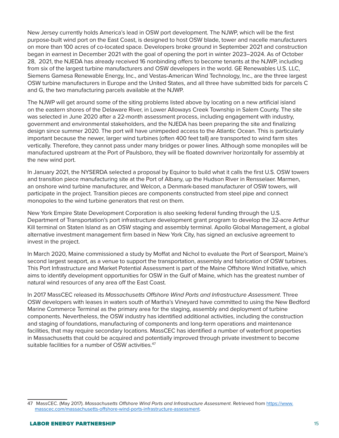New Jersey currently holds America's lead in OSW port development. The NJWP, which will be the first purpose-built wind port on the East Coast, is designed to host OSW blade, tower and nacelle manufacturers on more than 100 acres of co-located space. Developers broke ground in September 2021 and construction began in earnest in December 2021 with the goal of opening the port in winter 2023–2024. As of October 28, 2021, the NJEDA has already received 16 nonbinding offers to become tenants at the NJWP, including from six of the largest turbine manufacturers and OSW developers in the world. GE Renewables U.S. LLC, Siemens Gamesa Renewable Energy, Inc., and Vestas-American Wind Technology, Inc., are the three largest OSW turbine manufacturers in Europe and the United States, and all three have submitted bids for parcels C and G, the two manufacturing parcels available at the NJWP.

The NJWP will get around some of the siting problems listed above by locating on a new artificial island on the eastern shores of the Delaware River, in Lower Alloways Creek Township in Salem County. The site was selected in June 2020 after a 22-month assessment process, including engagement with industry, government and environmental stakeholders, and the NJEDA has been preparing the site and finalizing design since summer 2020. The port will have unimpeded access to the Atlantic Ocean. This is particularly important because the newer, larger wind turbines (often 400 feet tall) are transported to wind farm sites vertically. Therefore, they cannot pass under many bridges or power lines. Although some monopiles will be manufactured upstream at the Port of Paulsboro, they will be floated downriver horizontally for assembly at the new wind port.

In January 2021, the NYSERDA selected a proposal by Equinor to build what it calls the first U.S. OSW towers and transition piece manufacturing site at the Port of Albany, up the Hudson River in Rensselaer. Marmen, an onshore wind turbine manufacturer, and Welcon, a Denmark-based manufacturer of OSW towers, will participate in the project. Transition pieces are components constructed from steel pipe and connect monopoles to the wind turbine generators that rest on them.

New York Empire State Development Corporation is also seeking federal funding through the U.S. Department of Transportation's port infrastructure development grant program to develop the 32-acre Arthur Kill terminal on Staten Island as an OSW staging and assembly terminal. Apollo Global Management, a global alternative investment management firm based in New York City, has signed an exclusive agreement to invest in the project.

In March 2020, Maine commissioned a study by Moffat and Nichol to evaluate the Port of Searsport, Maine's second largest seaport, as a venue to support the transportation, assembly and fabrication of OSW turbines. This Port Infrastructure and Market Potential Assessment is part of the Maine Offshore Wind Initiative, which aims to identify development opportunities for OSW in the Gulf of Maine, which has the greatest number of natural wind resources of any area off the East Coast.

In 2017 MassCEC released its *Massachusetts Offshore Wind Ports and Infrastructure Assessment*. Three OSW developers with leases in waters south of Martha's Vineyard have committed to using the New Bedford Marine Commerce Terminal as the primary area for the staging, assembly and deployment of turbine components. Nevertheless, the OSW industry has identified additional activities, including the construction and staging of foundations, manufacturing of components and long-term operations and maintenance facilities, that may require secondary locations. MassCEC has identified a number of waterfront properties in Massachusetts that could be acquired and potentially improved through private investment to become suitable facilities for a number of OSW activities.<sup>47</sup>

<sup>47</sup> MassCEC. (May 2017). *Massachusetts Offshore Wind Ports and Infrastructure Assessment*. Retrieved from [https://www.](https://www.masscec.com/massachusetts-offshore-wind-ports-infrastructure-assessment) [masscec.com/massachusetts-offshore-wind-ports-infrastructure-assessment.](https://www.masscec.com/massachusetts-offshore-wind-ports-infrastructure-assessment)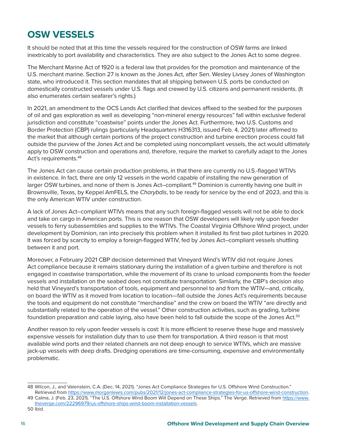# **OSW VESSELS**

It should be noted that at this time the vessels required for the construction of OSW farms are linked inextricably to port availability and characteristics. They are also subject to the Jones Act to some degree.

The Merchant Marine Act of 1920 is a federal law that provides for the promotion and maintenance of the U.S. merchant marine. Section 27 is known as the Jones Act, after Sen. Wesley Livsey Jones of Washington state, who introduced it. This section mandates that all shipping between U.S. ports be conducted on domestically constructed vessels under U.S. flags and crewed by U.S. citizens and permanent residents. (It also enumerates certain seafarer's rights.)

In 2021, an amendment to the OCS Lands Act clarified that devices affixed to the seabed for the purposes of oil and gas exploration as well as developing "non-mineral energy resources" fall within exclusive federal jurisdiction and constitute "coastwise" points under the Jones Act. Furthermore, two U.S. Customs and Border Protection (CBP) rulings (particularly Headquarters H316313, issued Feb. 4, 2021) later affirmed to the market that although certain portions of the project construction and turbine erection process could fall outside the purview of the Jones Act and be completed using noncompliant vessels, the act would ultimately apply to OSW construction and operations and, therefore, require the market to carefully adapt to the Jones Act's requirements.<sup>48</sup>

The Jones Act can cause certain production problems, in that there are currently no U.S.-flagged WTIVs in existence. In fact, there are only 12 vessels in the world capable of installing the new generation of larger OSW turbines, and none of them is Jones Act–compliant.<sup>49</sup> Dominion is currently having one built in Brownsville, Texas, by Keppel AmFELS, the *Charybdis*, to be ready for service by the end of 2023, and this is the only American WTIV under construction.

A lack of Jones Act–compliant WTIVs means that any such foreign-flagged vessels will not be able to dock and take on cargo in American ports. This is one reason that OSW developers will likely rely upon feeder vessels to ferry subassemblies and supplies to the WTIVs. The Coastal Virginia Offshore Wind project, under development by Dominion, ran into precisely this problem when it installed its first two pilot turbines in 2020. It was forced by scarcity to employ a foreign-flagged WTIV, fed by Jones Act–compliant vessels shuttling between it and port.

Moreover, a February 2021 CBP decision determined that Vineyard Wind's WTIV did not require Jones Act compliance because it remains stationary during the installation of a given turbine and therefore is not engaged in coastwise transportation, while the movement of its crane to unload components from the feeder vessels and installation on the seabed does not constitute transportation. Similarly, the CBP's decision also held that Vineyard's transportation of tools, equipment and personnel to and from the WTIV—and, critically, on board the WTIV as it moved from location to location—fall outside the Jones Act's requirements because the tools and equipment do not constitute "merchandise" and the crew on board the WTIV "are directly and substantially related to the operation of the vessel." Other construction activities, such as grading, turbine foundation preparation and cable laying, also have been held to fall outside the scope of the Jones Act.<sup>50</sup>

Another reason to rely upon feeder vessels is cost: It is more efficient to reserve these huge and massively expensive vessels for installation duty than to use them for transportation. A third reason is that most available wind ports and their related channels are not deep enough to service WTIVs, which are massive jack-up vessels with deep drafts. Dredging operations are time-consuming, expensive and environmentally problematic.

<sup>48</sup> Wilcon, J., and Valenstein, C.A. (Dec. 14, 2021). "Jones Act Compliance Strategies for U.S. Offshore Wind Construction."

Retrieved from [https://www.morganlewis.com/pubs/2021/12/jones-act-compliance-strategies-for-us-offshore-wind-construction.](https://www.morganlewis.com/pubs/2021/12/jones-act-compliance-strategies-for-us-offshore-wind-construction) 49 Calma, J. (Feb. 23, 2021). "The U.S. Offshore Wind Boom Will Depend on These Ships." The Verge. Retrieved from [https://www.](https://www.theverge.com/22296979/us-offshore-ships-wind-boom-installation-vessels) [theverge.com/22296979/us-offshore-ships-wind-boom-installation-vessels.](https://www.theverge.com/22296979/us-offshore-ships-wind-boom-installation-vessels)

<sup>50</sup> Ibid.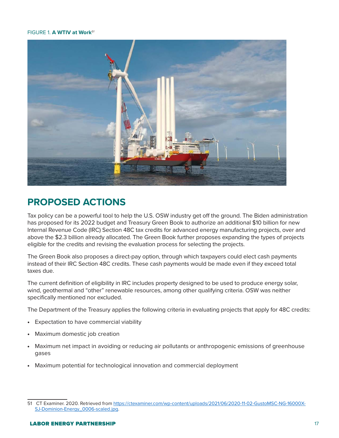#### FIGURE 1. **A WTIV at Work***<sup>51</sup>*



#### **PROPOSED ACTIONS**

Tax policy can be a powerful tool to help the U.S. OSW industry get off the ground. The Biden administration has proposed for its 2022 budget and Treasury Green Book to authorize an additional \$10 billion for new Internal Revenue Code (IRC) Section 48C tax credits for advanced energy manufacturing projects, over and above the \$2.3 billion already allocated. The Green Book further proposes expanding the types of projects eligible for the credits and revising the evaluation process for selecting the projects.

The Green Book also proposes a direct-pay option, through which taxpayers could elect cash payments instead of their IRC Section 48C credits. These cash payments would be made even if they exceed total taxes due.

The current definition of eligibility in IRC includes property designed to be used to produce energy solar, wind, geothermal and "other" renewable resources, among other qualifying criteria. OSW was neither specifically mentioned nor excluded.

The Department of the Treasury applies the following criteria in evaluating projects that apply for 48C credits:

- Expectation to have commercial viability
- Maximum domestic job creation
- Maximum net impact in avoiding or reducing air pollutants or anthropogenic emissions of greenhouse gases
- Maximum potential for technological innovation and commercial deployment

<sup>51</sup> CT Examiner. 2020. Retrieved from [https://ctexaminer.com/wp-content/uploads/2021/06/2020-11-02-GustoMSC-NG-16000X-](https://ctexaminer.com/wp-content/uploads/2021/06/2020-11-02-GustoMSC-NG-16000X-SJ-Dominion-Energy_0006-scaled.jpg)[SJ-Dominion-Energy\\_0006-scaled.jpg.](https://ctexaminer.com/wp-content/uploads/2021/06/2020-11-02-GustoMSC-NG-16000X-SJ-Dominion-Energy_0006-scaled.jpg)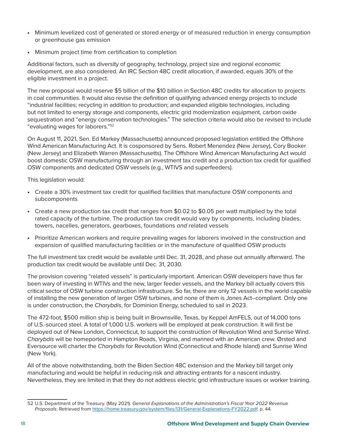- Minimum levelized cost of generated or stored energy or of measured reduction in energy consumption or greenhouse gas emission
- Minimum project time from certification to completion

Additional factors, such as diversity of geography, technology, project size and regional economic development, are also considered. An IRC Section 48C credit allocation, if awarded, equals 30% of the eligible investment in a project.

The new proposal would reserve \$5 billion of the \$10 billion in Section 48C credits for allocation to projects in coal communities. It would also revise the definition of qualifying advanced energy projects to include "industrial facilities; recycling in addition to production; and expanded eligible technologies, including but not limited to energy storage and components, electric grid modernization equipment, carbon oxide sequestration and "energy conservation technologies." The selection criteria would also be revised to include "evaluating wages for laborers."52

On August 11, 2021, Sen. Ed Markey (Massachusetts) announced proposed legislation entitled the Offshore Wind American Manufacturing Act. It is cosponsored by Sens. Robert Menendez (New Jersey), Cory Booker (New Jersey) and Elizabeth Warren (Massachusetts). The Offshore Wind American Manufacturing Act would boost domestic OSW manufacturing through an investment tax credit and a production tax credit for qualified OSW components and dedicated OSW vessels (e.g., WTIVS and superfeeders).

This legislation would:

- Create a 30% investment tax credit for qualified facilities that manufacture OSW components and subcomponents
- Create a new production tax credit that ranges from \$0.02 to \$0.05 per watt multiplied by the total rated capacity of the turbine. The production tax credit would vary by components, including blades, towers, nacelles, generators, gearboxes, foundations *and* related vessels
- Prioritize American workers and require prevailing wages for laborers involved in the construction and expansion of qualified manufacturing facilities or in the manufacture of qualified OSW products

The full investment tax credit would be available until Dec. 31, 2028, and phase out annually afterward. The production tax credit would be available until Dec. 31, 2030.

The provision covering "related vessels" is particularly important. American OSW developers have thus far been wary of investing in WTIVs and the new, larger feeder vessels, and the Markey bill actually covers this critical sector of OSW turbine construction infrastructure. So far, there are only 12 vessels in the world capable of installing the new generation of larger OSW turbines, and none of them is Jones Act–compliant. Only one is under construction, the *Charybdis*, for Dominion Energy, scheduled to sail in 2023.

The 472-foot, \$500 million ship is being built in Brownsville, Texas, by Keppel AmFELS, out of 14,000 tons of U.S.-sourced steel. A total of 1,000 U.S. workers will be employed at peak construction. It will first be deployed out of New London, Connecticut, to support the construction of Revolution Wind and Sunrise Wind. *Charybdis* will be homeported in Hampton Roads, Virginia, and manned with an American crew. Ørsted and Eversource will charter the *Charybdis* for Revolution Wind (Connecticut and Rhode Island) and Sunrise Wind (New York).

All of the above notwithstanding, both the Biden Section 48C extension and the Markey bill target only manufacturing and would be helpful in reducing risk and attracting entrants for a nascent industry. Nevertheless, they are limited in that they do not address electric grid infrastructure issues or worker training.

<sup>52</sup> U.S. Department of the Treasury. (May 2021). *General Explanations of the Administration's Fiscal Year 2022 Revenue Proposals*. Retrieved from [https://home.treasury.gov/system/files/131/General-Explanations-FY2022.pdf.](https://home.treasury.gov/system/files/131/General-Explanations-FY2022.pdf) p. 44.